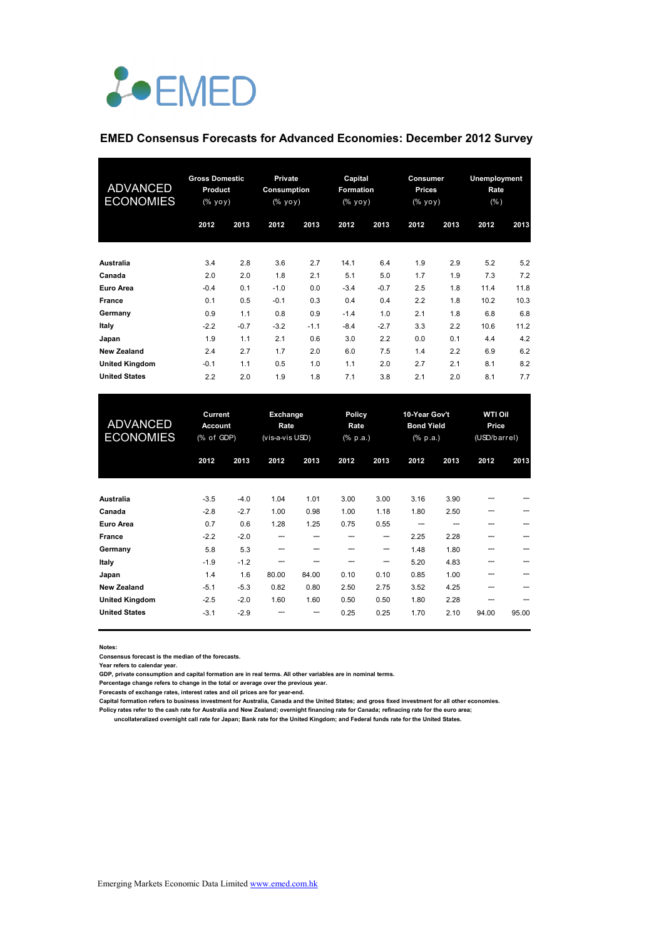# *L*•EMED

### **EMED Consensus Forecasts for Advanced Economies: December 2012 Survey**

| ADVANCED<br><b>ECONOMIES</b> | <b>Gross Domestic</b><br>Product<br>(% yoy) |        | <b>Private</b><br><b>Consumption</b><br>(% yoy) |        | Capital<br><b>Formation</b><br>(% уоу) |        | Consumer<br><b>Prices</b><br>(% yoy) |      | <b>Unemployment</b><br>Rate<br>(% ) |      |
|------------------------------|---------------------------------------------|--------|-------------------------------------------------|--------|----------------------------------------|--------|--------------------------------------|------|-------------------------------------|------|
|                              | 2012                                        | 2013   | 2012                                            | 2013   | 2012                                   | 2013   | 2012                                 | 2013 | 2012                                | 2013 |
| Australia                    | 3.4                                         | 2.8    | 3.6                                             | 2.7    | 14.1                                   | 6.4    | 1.9                                  | 2.9  | 5.2                                 | 5.2  |
| Canada                       | 2.0                                         | 2.0    | 1.8                                             | 2.1    | 5.1                                    | 5.0    | 1.7                                  | 1.9  | 7.3                                 | 7.2  |
| Euro Area                    | $-0.4$                                      | 0.1    | $-1.0$                                          | 0.0    | $-3.4$                                 | $-0.7$ | 2.5                                  | 1.8  | 11.4                                | 11.8 |
| <b>France</b>                | 0.1                                         | 0.5    | $-0.1$                                          | 0.3    | 0.4                                    | 0.4    | 2.2                                  | 1.8  | 10.2                                | 10.3 |
| Germany                      | 0.9                                         | 1.1    | 0.8                                             | 0.9    | $-1.4$                                 | 1.0    | 2.1                                  | 1.8  | 6.8                                 | 6.8  |
| Italy                        | $-2.2$                                      | $-0.7$ | $-3.2$                                          | $-1.1$ | $-8.4$                                 | $-2.7$ | 3.3                                  | 2.2  | 10.6                                | 11.2 |
| Japan                        | 1.9                                         | 1.1    | 2.1                                             | 0.6    | 3.0                                    | 2.2    | 0.0                                  | 0.1  | 4.4                                 | 4.2  |
| <b>New Zealand</b>           | 2.4                                         | 2.7    | 1.7                                             | 2.0    | 6.0                                    | 7.5    | 1.4                                  | 2.2  | 6.9                                 | 6.2  |
| <b>United Kingdom</b>        | $-0.1$                                      | 1.1    | 0.5                                             | 1.0    | 1.1                                    | 2.0    | 2.7                                  | 2.1  | 8.1                                 | 8.2  |
| <b>United States</b>         | 2.2                                         | 2.0    | 1.9                                             | 1.8    | 7.1                                    | 3.8    | 2.1                                  | 2.0  | 8.1                                 | 7.7  |

| <b>ADVANCED</b><br><b>ECONOMIES</b> | Current<br><b>Account</b><br>(% of GDP) |        | Exchange<br>Rate<br>(vis-a-vis USD) |       | <b>Policy</b><br>Rate<br>(% p.a.) |      | 10-Year Gov't<br><b>Bond Yield</b><br>$(% \mathbf{a})$ (% p.a.) |      | <b>WTI Oil</b><br>Price<br>(USD/barrel) |       |
|-------------------------------------|-----------------------------------------|--------|-------------------------------------|-------|-----------------------------------|------|-----------------------------------------------------------------|------|-----------------------------------------|-------|
|                                     | 2012                                    | 2013   | 2012                                | 2013  | 2012                              | 2013 | 2012                                                            | 2013 | 2012                                    | 2013  |
| Australia                           | $-3.5$                                  | $-4.0$ | 1.04                                | 1.01  | 3.00                              | 3.00 | 3.16                                                            | 3.90 |                                         |       |
| Canada                              | $-2.8$                                  | $-2.7$ | 1.00                                | 0.98  | 1.00                              | 1.18 | 1.80                                                            | 2.50 |                                         |       |
| Euro Area                           | 0.7                                     | 0.6    | 1.28                                | 1.25  | 0.75                              | 0.55 |                                                                 |      |                                         |       |
| <b>France</b>                       | $-2.2$                                  | $-2.0$ |                                     |       | ---                               | --   | 2.25                                                            | 2.28 |                                         |       |
| Germany                             | 5.8                                     | 5.3    | --                                  |       |                                   | --   | 1.48                                                            | 1.80 |                                         |       |
| Italy                               | $-1.9$                                  | $-1.2$ |                                     |       |                                   | ---  | 5.20                                                            | 4.83 |                                         |       |
| Japan                               | 1.4                                     | 1.6    | 80.00                               | 84.00 | 0.10                              | 0.10 | 0.85                                                            | 1.00 |                                         |       |
| <b>New Zealand</b>                  | $-5.1$                                  | $-5.3$ | 0.82                                | 0.80  | 2.50                              | 2.75 | 3.52                                                            | 4.25 |                                         |       |
| <b>United Kingdom</b>               | $-2.5$                                  | $-2.0$ | 1.60                                | 1.60  | 0.50                              | 0.50 | 1.80                                                            | 2.28 |                                         |       |
| <b>United States</b>                | $-3.1$                                  | $-2.9$ |                                     | ---   | 0.25                              | 0.25 | 1.70                                                            | 2.10 | 94.00                                   | 95.00 |

**Notes:** 

**Consensus forecast is the median of the forecasts.**

**Year refers to calendar year.**

**GDP, private consumption and capital formation are in real terms. All other variables are in nominal terms.**

**Percentage change refers to change in the total or average over the previous year.**

**Forecasts of exchange rates, interest rates and oil prices are for year-end.**

**Capital formation refers to business investment for Australia, Canada and the United States; and gross fixed investment for all other economies. Policy rates refer to the cash rate for Australia and New Zealand; overnight financing rate for Canada; refinacing rate for the euro area;** 

 **uncollateralized overnight call rate for Japan; Bank rate for the United Kingdom; and Federal funds rate for the United States.**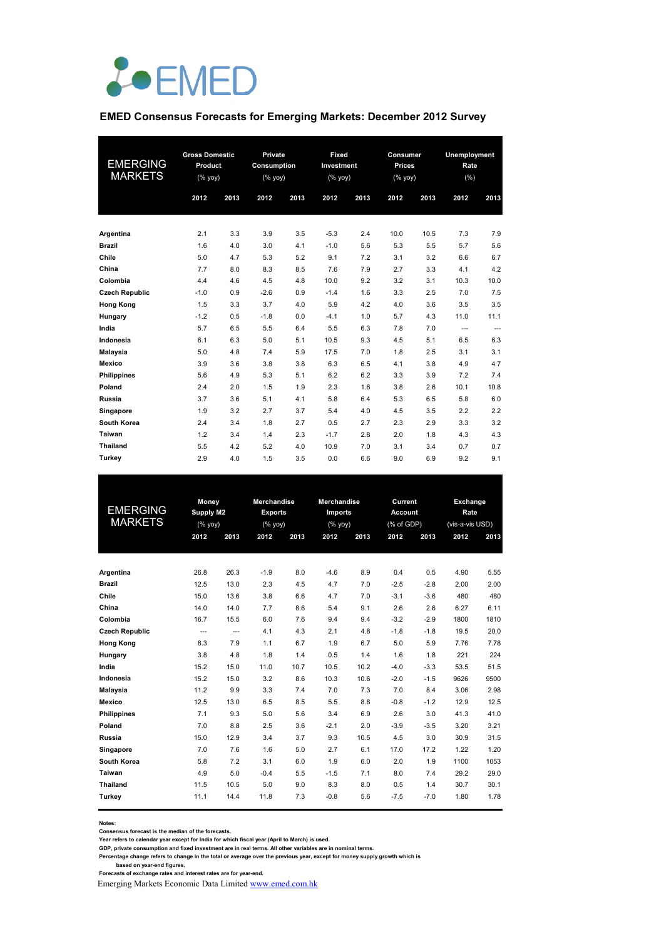

## **EMED Consensus Forecasts for Emerging Markets: December 2012 Survey**

| EMERGING<br><b>MARKETS</b> | <b>Gross Domestic</b><br>Product<br>(% yoy) |      | Private<br><b>Consumption</b><br>(% yoy) |      | Fixed<br>Investment<br>$(\%$ yoy) |      | Consumer<br><b>Prices</b><br>(% yoy) |      | Unemployment<br>Rate<br>(% ) |       |  |
|----------------------------|---------------------------------------------|------|------------------------------------------|------|-----------------------------------|------|--------------------------------------|------|------------------------------|-------|--|
|                            | 2012                                        | 2013 | 2012                                     | 2013 | 2012                              | 2013 | 2012                                 | 2013 | 2012                         | 2013  |  |
| Argentina                  | 2.1                                         | 3.3  | 3.9                                      | 3.5  | $-5.3$                            | 2.4  | 10.0                                 | 10.5 | 7.3                          | 7.9   |  |
| <b>Brazil</b>              | 1.6                                         | 4.0  | 3.0                                      | 4.1  | $-1.0$                            | 5.6  | 5.3                                  | 5.5  | 5.7                          | 5.6   |  |
| Chile                      | 5.0                                         | 4.7  | 5.3                                      | 5.2  | 9.1                               | 7.2  | 3.1                                  | 3.2  | 6.6                          | 6.7   |  |
| China                      | 7.7                                         | 8.0  | 8.3                                      | 8.5  | 7.6                               | 7.9  | 2.7                                  | 3.3  | 4.1                          | 4.2   |  |
| Colombia                   | 4.4                                         | 4.6  | 4.5                                      | 4.8  | 10.0                              | 9.2  | 3.2                                  | 3.1  | 10.3                         | 10.0  |  |
| <b>Czech Republic</b>      | $-1.0$                                      | 0.9  | $-2.6$                                   | 0.9  | $-1.4$                            | 1.6  | 3.3                                  | 2.5  | 7.0                          | 7.5   |  |
| <b>Hong Kong</b>           | 1.5                                         | 3.3  | 3.7                                      | 4.0  | 5.9                               | 4.2  | 4.0                                  | 3.6  | 3.5                          | 3.5   |  |
| Hungary                    | $-1.2$                                      | 0.5  | $-1.8$                                   | 0.0  | $-4.1$                            | 1.0  | 5.7                                  | 4.3  | 11.0                         | 11.1  |  |
| India                      | 5.7                                         | 6.5  | 5.5                                      | 6.4  | 5.5                               | 6.3  | 7.8                                  | 7.0  | ---                          | $---$ |  |
| Indonesia                  | 6.1                                         | 6.3  | 5.0                                      | 5.1  | 10.5                              | 9.3  | 4.5                                  | 5.1  | 6.5                          | 6.3   |  |
| <b>Malaysia</b>            | 5.0                                         | 4.8  | 7.4                                      | 5.9  | 17.5                              | 7.0  | 1.8                                  | 2.5  | 3.1                          | 3.1   |  |
| Mexico                     | 3.9                                         | 3.6  | 3.8                                      | 3.8  | 6.3                               | 6.5  | 4.1                                  | 3.8  | 4.9                          | 4.7   |  |
| <b>Philippines</b>         | 5.6                                         | 4.9  | 5.3                                      | 5.1  | 6.2                               | 6.2  | 3.3                                  | 3.9  | 7.2                          | 7.4   |  |
| Poland                     | 2.4                                         | 2.0  | 1.5                                      | 1.9  | 2.3                               | 1.6  | 3.8                                  | 2.6  | 10.1                         | 10.8  |  |
| Russia                     | 3.7                                         | 3.6  | 5.1                                      | 4.1  | 5.8                               | 6.4  | 5.3                                  | 6.5  | 5.8                          | 6.0   |  |
| Singapore                  | 1.9                                         | 3.2  | 2.7                                      | 3.7  | 5.4                               | 4.0  | 4.5                                  | 3.5  | 2.2                          | 2.2   |  |
| <b>South Korea</b>         | 2.4                                         | 3.4  | 1.8                                      | 2.7  | 0.5                               | 2.7  | 2.3                                  | 2.9  | 3.3                          | 3.2   |  |
| Taiwan                     | 1.2                                         | 3.4  | 1.4                                      | 2.3  | $-1.7$                            | 2.8  | 2.0                                  | 1.8  | 4.3                          | 4.3   |  |
| <b>Thailand</b>            | 5.5                                         | 4.2  | 5.2                                      | 4.0  | 10.9                              | 7.0  | 3.1                                  | 3.4  | 0.7                          | 0.7   |  |
| Turkey                     | 2.9                                         | 4.0  | 1.5                                      | 3.5  | 0.0                               | 6.6  | 9.0                                  | 6.9  | 9.2                          | 9.1   |  |

| <b>EMERGING</b><br><b>MARKETS</b> | 2012 | Money<br>Supply M2<br>(%<br>2013 |        | Merchandise<br><b>Exports</b><br>(%<br>2013 | Merchandise<br>Imports<br>(%<br>2012 |      | Current<br>Account<br>(% of GDP)<br>2012<br>2013<br>2013 |        | Exchange<br>Rate<br>(vis-a-vis USD)<br>2012<br>2013 |      |
|-----------------------------------|------|----------------------------------|--------|---------------------------------------------|--------------------------------------|------|----------------------------------------------------------|--------|-----------------------------------------------------|------|
|                                   |      |                                  |        |                                             |                                      |      |                                                          |        |                                                     |      |
| Argentina                         | 26.8 | 26.3                             | $-1.9$ | 8.0                                         | $-4.6$                               | 8.9  | 0.4                                                      | 0.5    | 4.90                                                | 5.55 |
| <b>Brazil</b>                     | 12.5 | 13.0                             | 2.3    | 4.5                                         | 4.7                                  | 7.0  | $-2.5$                                                   | $-2.8$ | 2.00                                                | 2.00 |
| Chile                             | 15.0 | 13.6                             | 3.8    | 6.6                                         | 4.7                                  | 7.0  | $-3.1$                                                   | $-3.6$ | 480                                                 | 480  |
| China                             | 14.0 | 14.0                             | 7.7    | 8.6                                         | 5.4                                  | 9.1  | 2.6                                                      | 2.6    | 6.27                                                | 6.11 |
| Colombia                          | 16.7 | 15.5                             | 6.0    | 7.6                                         | 9.4                                  | 9.4  | $-3.2$                                                   | $-2.9$ | 1800                                                | 1810 |
| <b>Czech Republic</b>             | ---  | $\overline{\phantom{a}}$         | 4.1    | 4.3                                         | 2.1                                  | 4.8  | $-1.8$                                                   | $-1.8$ | 19.5                                                | 20.0 |
| <b>Hong Kong</b>                  | 8.3  | 7.9                              | 1.1    | 6.7                                         | 1.9                                  | 6.7  | 5.0                                                      | 5.9    | 7.76                                                | 7.78 |
| Hungary                           | 3.8  | 4.8                              | 1.8    | 1.4                                         | 0.5                                  | 1.4  | 1.6                                                      | 1.8    | 221                                                 | 224  |
| India                             | 15.2 | 15.0                             | 11.0   | 10.7                                        | 10.5                                 | 10.2 | $-4.0$                                                   | $-3.3$ | 53.5                                                | 51.5 |
| Indonesia                         | 15.2 | 15.0                             | 3.2    | 8.6                                         | 10.3                                 | 10.6 | $-2.0$                                                   | $-1.5$ | 9626                                                | 9500 |
| <b>Malaysia</b>                   | 11.2 | 9.9                              | 3.3    | 7.4                                         | 7.0                                  | 7.3  | 7.0                                                      | 8.4    | 3.06                                                | 2.98 |
| <b>Mexico</b>                     | 12.5 | 13.0                             | 6.5    | 8.5                                         | 5.5                                  | 8.8  | $-0.8$                                                   | $-1.2$ | 12.9                                                | 12.5 |
| <b>Philippines</b>                | 7.1  | 9.3                              | 5.0    | 5.6                                         | 3.4                                  | 6.9  | 2.6                                                      | 3.0    | 41.3                                                | 41.0 |
| Poland                            | 7.0  | 8.8                              | 2.5    | 3.6                                         | $-2.1$                               | 2.0  | $-3.9$                                                   | $-3.5$ | 3.20                                                | 3.21 |
| Russia                            | 15.0 | 12.9                             | 3.4    | 3.7                                         | 9.3                                  | 10.5 | 4.5                                                      | 3.0    | 30.9                                                | 31.5 |
| Singapore                         | 7.0  | 7.6                              | 1.6    | 5.0                                         | 2.7                                  | 6.1  | 17.0                                                     | 17.2   | 1.22                                                | 1.20 |
| South Korea                       | 5.8  | 7.2                              | 3.1    | 6.0                                         | 1.9                                  | 6.0  | 2.0                                                      | 1.9    | 1100                                                | 1053 |
| Taiwan                            | 4.9  | 5.0                              | $-0.4$ | 5.5                                         | $-1.5$                               | 7.1  | 8.0                                                      | 7.4    | 29.2                                                | 29.0 |
| <b>Thailand</b>                   | 11.5 | 10.5                             | 5.0    | 9.0                                         | 8.3                                  | 8.0  | 0.5                                                      | 1.4    | 30.7                                                | 30.1 |
| Turkey                            | 11.1 | 14.4                             | 11.8   | 7.3                                         | $-0.8$                               | 5.6  | $-7.5$                                                   | $-7.0$ | 1.80                                                | 1.78 |
|                                   |      |                                  |        |                                             |                                      |      |                                                          |        |                                                     |      |

**Notes:** 

**Consensus forecast is the median of the forecasts. Year refers to calendar year except for India for which fiscal year (April to March) is used.**

**GDP, private consumption and fixed investment are in real terms. All other variables are in nominal terms.**

Percentage change refers to change in the total or average over the previous year, except for money supply growth which is<br>based on year-end figures.<br>Forecasts of exchange rates and interest rates are for year-end.

Emerging Markets Economic Data Limited www.emed.com.hk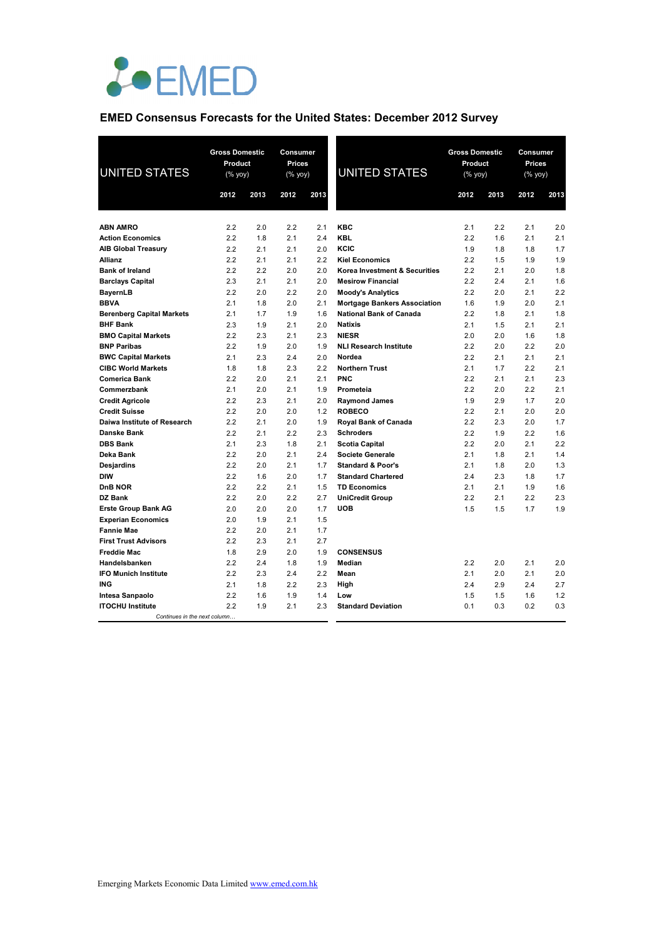

## **EMED Consensus Forecasts for the United States: December 2012 Survey**

| <b>UNITED STATES</b>             | <b>Gross Domestic</b><br>Product<br>$(% \mathsf{Y}\rightarrow \mathsf{Y})$ |      | Consumer<br><b>Prices</b><br>$(\%$ yoy) |      | <b>UNITED STATES</b>                | <b>Gross Domestic</b><br>Product<br>(% yoy) |      |      | Consumer<br>Prices<br>$(%$ yoy) |  |
|----------------------------------|----------------------------------------------------------------------------|------|-----------------------------------------|------|-------------------------------------|---------------------------------------------|------|------|---------------------------------|--|
|                                  | 2012                                                                       | 2013 | 2012                                    | 2013 |                                     | 2012                                        | 2013 | 2012 | 2013                            |  |
|                                  |                                                                            |      |                                         |      |                                     |                                             |      |      |                                 |  |
| <b>ABN AMRO</b>                  | 2.2                                                                        | 2.0  | 2.2                                     | 2.1  | <b>KBC</b>                          | 2.1                                         | 2.2  | 2.1  | 2.0                             |  |
| <b>Action Economics</b>          | 2.2                                                                        | 1.8  | 2.1                                     | 2.4  | <b>KBL</b>                          | 2.2                                         | 1.6  | 2.1  | 2.1                             |  |
| <b>AIB Global Treasury</b>       | 2.2                                                                        | 2.1  | 2.1                                     | 2.0  | KCIC                                | 1.9                                         | 1.8  | 1.8  | 1.7                             |  |
| Allianz                          | 2.2                                                                        | 2.1  | 2.1                                     | 2.2  | <b>Kiel Economics</b>               | 2.2                                         | 1.5  | 1.9  | 1.9                             |  |
| <b>Bank of Ireland</b>           | 2.2                                                                        | 2.2  | 2.0                                     | 2.0  | Korea Investment & Securities       | 2.2                                         | 2.1  | 2.0  | 1.8                             |  |
| <b>Barclays Capital</b>          | 2.3                                                                        | 2.1  | 2.1                                     | 2.0  | <b>Mesirow Financial</b>            | 2.2                                         | 2.4  | 2.1  | 1.6                             |  |
| <b>BayernLB</b>                  | 2.2                                                                        | 2.0  | 2.2                                     | 2.0  | <b>Moody's Analytics</b>            | 2.2                                         | 2.0  | 2.1  | 2.2                             |  |
| <b>BBVA</b>                      | 2.1                                                                        | 1.8  | 2.0                                     | 2.1  | <b>Mortgage Bankers Association</b> | 1.6                                         | 1.9  | 2.0  | 2.1                             |  |
| <b>Berenberg Capital Markets</b> | 2.1                                                                        | 1.7  | 1.9                                     | 1.6  | <b>National Bank of Canada</b>      | 2.2                                         | 1.8  | 2.1  | 1.8                             |  |
| <b>BHF Bank</b>                  | 2.3                                                                        | 1.9  | 2.1                                     | 2.0  | <b>Natixis</b>                      | 2.1                                         | 1.5  | 2.1  | 2.1                             |  |
| <b>BMO Capital Markets</b>       | 2.2                                                                        | 2.3  | 2.1                                     | 2.3  | <b>NIESR</b>                        | 2.0                                         | 2.0  | 1.6  | 1.8                             |  |
| <b>BNP Paribas</b>               | 2.2                                                                        | 1.9  | 2.0                                     | 1.9  | <b>NLI Research Institute</b>       | 2.2                                         | 2.0  | 2.2  | 2.0                             |  |
| <b>BWC Capital Markets</b>       | 2.1                                                                        | 2.3  | 2.4                                     | 2.0  | Nordea                              | 2.2                                         | 2.1  | 2.1  | 2.1                             |  |
| <b>CIBC World Markets</b>        | 1.8                                                                        | 1.8  | 2.3                                     | 2.2  | <b>Northern Trust</b>               | 2.1                                         | 1.7  | 2.2  | 2.1                             |  |
| <b>Comerica Bank</b>             | 2.2                                                                        | 2.0  | 2.1                                     | 2.1  | <b>PNC</b>                          | 2.2                                         | 2.1  | 2.1  | 2.3                             |  |
| Commerzbank                      | 2.1                                                                        | 2.0  | 2.1                                     | 1.9  | Prometeia                           | 2.2                                         | 2.0  | 2.2  | 2.1                             |  |
| <b>Credit Agricole</b>           | 2.2                                                                        | 2.3  | 2.1                                     | 2.0  | <b>Raymond James</b>                | 1.9                                         | 2.9  | 1.7  | 2.0                             |  |
| <b>Credit Suisse</b>             | 2.2                                                                        | 2.0  | 2.0                                     | 1.2  | <b>ROBECO</b>                       | 2.2                                         | 2.1  | 2.0  | 2.0                             |  |
| Daiwa Institute of Research      | 2.2                                                                        | 2.1  | 2.0                                     | 1.9  | <b>Royal Bank of Canada</b>         | 2.2                                         | 2.3  | 2.0  | 1.7                             |  |
| Danske Bank                      | 2.2                                                                        | 2.1  | 2.2                                     | 2.3  | <b>Schroders</b>                    | 2.2                                         | 1.9  | 2.2  | 1.6                             |  |
| <b>DBS Bank</b>                  | 2.1                                                                        | 2.3  | 1.8                                     | 2.1  | <b>Scotia Capital</b>               | 2.2                                         | 2.0  | 2.1  | 2.2                             |  |
| Deka Bank                        | 2.2                                                                        | 2.0  | 2.1                                     | 2.4  | <b>Societe Generale</b>             | 2.1                                         | 1.8  | 2.1  | 1.4                             |  |
| <b>Desjardins</b>                | 2.2                                                                        | 2.0  | 2.1                                     | 1.7  | <b>Standard &amp; Poor's</b>        | 2.1                                         | 1.8  | 2.0  | 1.3                             |  |
| <b>DIW</b>                       | 2.2                                                                        | 1.6  | 2.0                                     | 1.7  | <b>Standard Chartered</b>           | 2.4                                         | 2.3  | 1.8  | 1.7                             |  |
| DnB NOR                          | 2.2                                                                        | 2.2  | 2.1                                     | 1.5  | <b>TD Economics</b>                 | 2.1                                         | 2.1  | 1.9  | 1.6                             |  |
| DZ Bank                          | 2.2                                                                        | 2.0  | 2.2                                     | 2.7  | <b>UniCredit Group</b>              | 2.2                                         | 2.1  | 2.2  | 2.3                             |  |
| <b>Erste Group Bank AG</b>       | 2.0                                                                        | 2.0  | 2.0                                     | 1.7  | <b>UOB</b>                          | 1.5                                         | 1.5  | 1.7  | 1.9                             |  |
| <b>Experian Economics</b>        | 2.0                                                                        | 1.9  | 2.1                                     | 1.5  |                                     |                                             |      |      |                                 |  |
| <b>Fannie Mae</b>                | 2.2                                                                        | 2.0  | 2.1                                     | 1.7  |                                     |                                             |      |      |                                 |  |
| <b>First Trust Advisors</b>      | 2.2                                                                        | 2.3  | 2.1                                     | 2.7  |                                     |                                             |      |      |                                 |  |
| <b>Freddie Mac</b>               | 1.8                                                                        | 2.9  | 2.0                                     | 1.9  | <b>CONSENSUS</b>                    |                                             |      |      |                                 |  |
| Handelsbanken                    | 2.2                                                                        | 2.4  | 1.8                                     | 1.9  | Median                              | 2.2                                         | 2.0  | 2.1  | 2.0                             |  |
| <b>IFO Munich Institute</b>      | 2.2                                                                        | 2.3  | 2.4                                     | 2.2  | Mean                                | 2.1                                         | 2.0  | 2.1  | 2.0                             |  |
| <b>ING</b>                       | 2.1                                                                        | 1.8  | 2.2                                     | 2.3  | High                                | 2.4                                         | 2.9  | 2.4  | 2.7                             |  |
| Intesa Sanpaolo                  | 2.2                                                                        | 1.6  | 1.9                                     | 1.4  | Low                                 | 1.5                                         | 1.5  | 1.6  | 1.2                             |  |
| <b>ITOCHU Institute</b>          | 2.2                                                                        | 1.9  | 2.1                                     | 2.3  | <b>Standard Deviation</b>           | 0.1                                         | 0.3  | 0.2  | 0.3                             |  |
| Continues in the next column.    |                                                                            |      |                                         |      |                                     |                                             |      |      |                                 |  |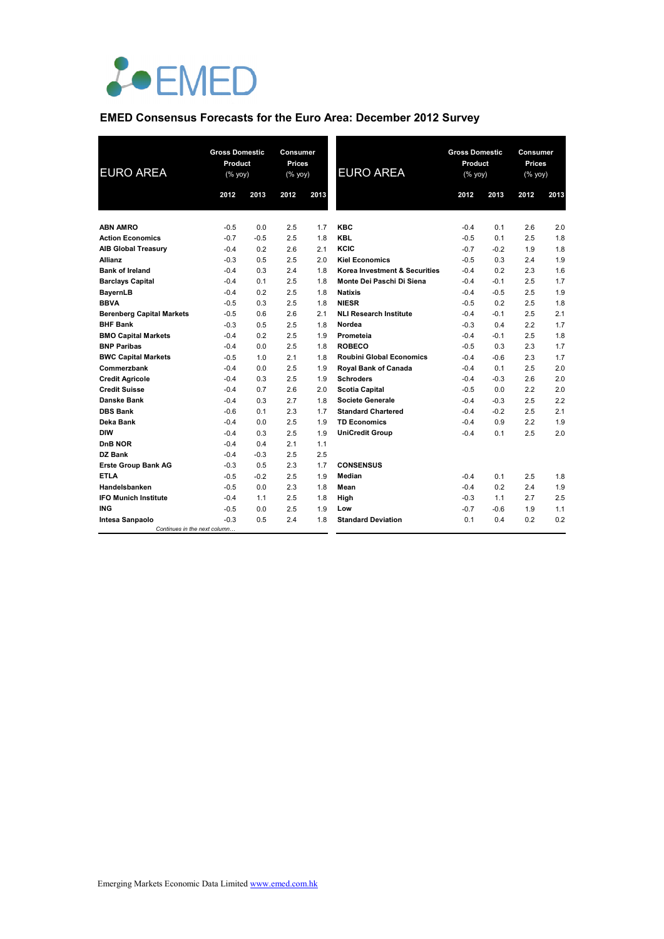

## **EMED Consensus Forecasts for the Euro Area: December 2012 Survey**

| <b>EURO AREA</b>                 |        | <b>Gross Domestic</b><br>Product<br>$(% \mathsf{Y}^{\prime }\mathsf{Y}^{\prime }\mathsf{Y}^{\prime })$ |      | Consumer<br><b>Prices</b><br>(% yoy) | <b>EURO AREA</b>                | <b>Gross Domestic</b><br>Product<br>$(%$ (% yoy) |        | <b>Consumer</b><br><b>Prices</b><br>(% yoy) |      |
|----------------------------------|--------|--------------------------------------------------------------------------------------------------------|------|--------------------------------------|---------------------------------|--------------------------------------------------|--------|---------------------------------------------|------|
|                                  | 2012   | 2013                                                                                                   | 2012 | 2013                                 |                                 | 2012                                             | 2013   | 2012                                        | 2013 |
| <b>ABN AMRO</b>                  |        |                                                                                                        |      |                                      | <b>KBC</b>                      |                                                  |        | 2.6                                         |      |
|                                  | $-0.5$ | 0.0                                                                                                    | 2.5  | 1.7                                  |                                 | $-0.4$                                           | 0.1    |                                             | 2.0  |
| <b>Action Economics</b>          | $-0.7$ | $-0.5$                                                                                                 | 2.5  | 1.8                                  | <b>KBL</b><br>KCIC              | $-0.5$                                           | 0.1    | 2.5                                         | 1.8  |
| <b>AIB Global Treasury</b>       | $-0.4$ | 0.2                                                                                                    | 2.6  | 2.1                                  |                                 | $-0.7$                                           | $-0.2$ | 1.9                                         | 1.8  |
| <b>Allianz</b>                   | $-0.3$ | 0.5                                                                                                    | 2.5  | 2.0                                  | <b>Kiel Economics</b>           | $-0.5$                                           | 0.3    | 2.4                                         | 1.9  |
| <b>Bank of Ireland</b>           | $-0.4$ | 0.3                                                                                                    | 2.4  | 1.8                                  | Korea Investment & Securities   | $-0.4$                                           | 0.2    | 2.3                                         | 1.6  |
| <b>Barclays Capital</b>          | $-0.4$ | 0.1                                                                                                    | 2.5  | 1.8                                  | Monte Dei Paschi Di Siena       | $-0.4$                                           | $-0.1$ | 2.5                                         | 1.7  |
| <b>BayernLB</b>                  | $-0.4$ | 0.2                                                                                                    | 2.5  | 1.8                                  | <b>Natixis</b>                  | $-0.4$                                           | $-0.5$ | 2.5                                         | 1.9  |
| <b>BBVA</b>                      | $-0.5$ | 0.3                                                                                                    | 2.5  | 1.8                                  | <b>NIESR</b>                    | $-0.5$                                           | 0.2    | 2.5                                         | 1.8  |
| <b>Berenberg Capital Markets</b> | $-0.5$ | 0.6                                                                                                    | 2.6  | 2.1                                  | <b>NLI Research Institute</b>   | $-0.4$                                           | $-0.1$ | 2.5                                         | 2.1  |
| <b>BHF Bank</b>                  | $-0.3$ | 0.5                                                                                                    | 2.5  | 1.8                                  | Nordea                          | $-0.3$                                           | 0.4    | 2.2                                         | 1.7  |
| <b>BMO Capital Markets</b>       | $-0.4$ | 0.2                                                                                                    | 2.5  | 1.9                                  | Prometeia                       | $-0.4$                                           | $-0.1$ | 2.5                                         | 1.8  |
| <b>BNP Paribas</b>               | $-0.4$ | 0.0                                                                                                    | 2.5  | 1.8                                  | <b>ROBECO</b>                   | $-0.5$                                           | 0.3    | 2.3                                         | 1.7  |
| <b>BWC Capital Markets</b>       | $-0.5$ | 1.0                                                                                                    | 2.1  | 1.8                                  | <b>Roubini Global Economics</b> | $-0.4$                                           | $-0.6$ | 2.3                                         | 1.7  |
| Commerzbank                      | $-0.4$ | 0.0                                                                                                    | 2.5  | 1.9                                  | Royal Bank of Canada            | $-0.4$                                           | 0.1    | 2.5                                         | 2.0  |
| <b>Credit Agricole</b>           | $-0.4$ | 0.3                                                                                                    | 2.5  | 1.9                                  | <b>Schroders</b>                | $-0.4$                                           | $-0.3$ | 2.6                                         | 2.0  |
| <b>Credit Suisse</b>             | $-0.4$ | 0.7                                                                                                    | 2.6  | 2.0                                  | <b>Scotia Capital</b>           | $-0.5$                                           | 0.0    | 2.2                                         | 2.0  |
| <b>Danske Bank</b>               | $-0.4$ | 0.3                                                                                                    | 2.7  | 1.8                                  | <b>Societe Generale</b>         | $-0.4$                                           | $-0.3$ | 2.5                                         | 2.2  |
| <b>DBS Bank</b>                  | $-0.6$ | 0.1                                                                                                    | 2.3  | 1.7                                  | <b>Standard Chartered</b>       | $-0.4$                                           | $-0.2$ | 2.5                                         | 2.1  |
| Deka Bank                        | $-0.4$ | 0.0                                                                                                    | 2.5  | 1.9                                  | <b>TD Economics</b>             | $-0.4$                                           | 0.9    | 2.2                                         | 1.9  |
| <b>DIW</b>                       | $-0.4$ | 0.3                                                                                                    | 2.5  | 1.9                                  | <b>UniCredit Group</b>          | $-0.4$                                           | 0.1    | 2.5                                         | 2.0  |
| DnB NOR                          | $-0.4$ | 0.4                                                                                                    | 2.1  | 1.1                                  |                                 |                                                  |        |                                             |      |
| DZ Bank                          | $-0.4$ | $-0.3$                                                                                                 | 2.5  | 2.5                                  |                                 |                                                  |        |                                             |      |
| <b>Erste Group Bank AG</b>       | $-0.3$ | 0.5                                                                                                    | 2.3  | 1.7                                  | <b>CONSENSUS</b>                |                                                  |        |                                             |      |
| <b>ETLA</b>                      | $-0.5$ | $-0.2$                                                                                                 | 2.5  | 1.9                                  | Median                          | $-0.4$                                           | 0.1    | 2.5                                         | 1.8  |
| Handelsbanken                    | $-0.5$ | 0.0                                                                                                    | 2.3  | 1.8                                  | Mean                            | $-0.4$                                           | 0.2    | 2.4                                         | 1.9  |
| <b>IFO Munich Institute</b>      | $-0.4$ | 1.1                                                                                                    | 2.5  | 1.8                                  | High                            | $-0.3$                                           | 1.1    | 2.7                                         | 2.5  |
| ING                              | $-0.5$ | 0.0                                                                                                    | 2.5  | 1.9                                  | Low                             | $-0.7$                                           | $-0.6$ | 1.9                                         | 1.1  |
| Intesa Sanpaolo                  | $-0.3$ | 0.5                                                                                                    | 2.4  | 1.8                                  | <b>Standard Deviation</b>       | 0.1                                              | 0.4    | 0.2                                         | 0.2  |
| Continues in the next column     |        |                                                                                                        |      |                                      |                                 |                                                  |        |                                             |      |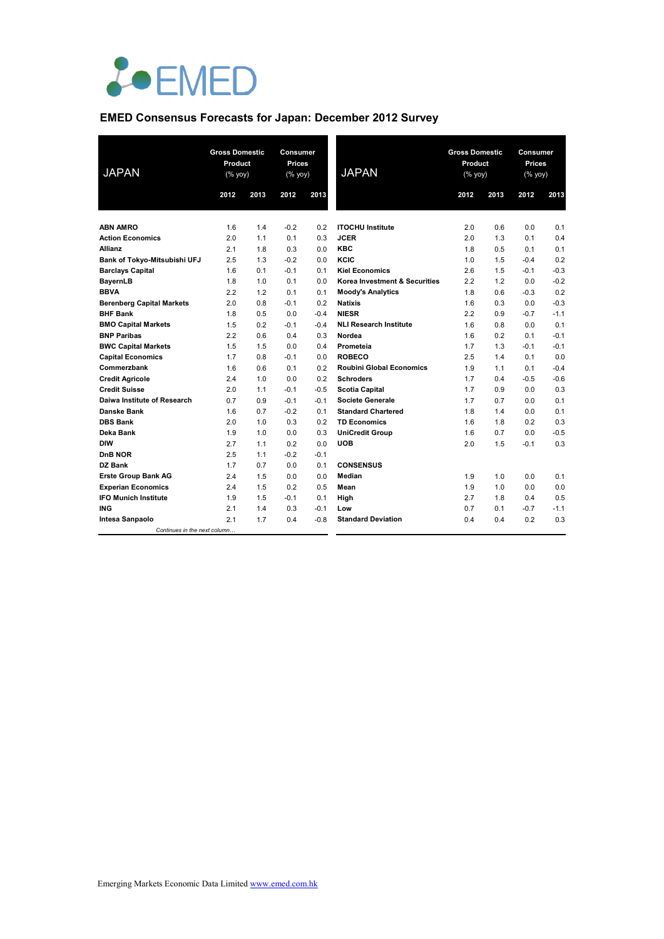

## **EMED Consensus Forecasts for Japan: December 2012 Survey**

| <b>JAPAN</b>                     | <b>Gross Domestic</b><br>Product<br>(% yoy) |      | Consumer<br>Prices<br>(% yoy) |        | <b>JAPAN</b>                    | <b>Gross Domestic</b><br>Product<br>(% yoy) |      | Consumer<br><b>Prices</b><br>(% yoy) |        |
|----------------------------------|---------------------------------------------|------|-------------------------------|--------|---------------------------------|---------------------------------------------|------|--------------------------------------|--------|
|                                  | 2012                                        | 2013 | 2012                          | 2013   |                                 | 2012                                        | 2013 | 2012                                 | 2013   |
|                                  |                                             |      |                               |        |                                 |                                             |      |                                      |        |
| <b>ABN AMRO</b>                  | 1.6                                         | 1.4  | $-0.2$                        | 0.2    | <b>ITOCHU Institute</b>         | 2.0                                         | 0.6  | 0.0                                  | 0.1    |
| <b>Action Economics</b>          | 2.0                                         | 1.1  | 0.1                           | 0.3    | <b>JCER</b>                     | 2.0                                         | 1.3  | 0.1                                  | 0.4    |
| <b>Allianz</b>                   | 2.1                                         | 1.8  | 0.3                           | 0.0    | <b>KBC</b>                      | 1.8                                         | 0.5  | 0.1                                  | 0.1    |
| Bank of Tokyo-Mitsubishi UFJ     | 2.5                                         | 1.3  | $-0.2$                        | 0.0    | KCIC                            | 1.0                                         | 1.5  | $-0.4$                               | 0.2    |
| <b>Barclays Capital</b>          | 1.6                                         | 0.1  | $-0.1$                        | 0.1    | <b>Kiel Economics</b>           | 2.6                                         | 1.5  | $-0.1$                               | $-0.3$ |
| <b>BayernLB</b>                  | 1.8                                         | 1.0  | 0.1                           | 0.0    | Korea Investment & Securities   | 2.2                                         | 1.2  | 0.0                                  | $-0.2$ |
| <b>BBVA</b>                      | 2.2                                         | 1.2  | 0.1                           | 0.1    | <b>Moody's Analytics</b>        | 1.8                                         | 0.6  | $-0.3$                               | 0.2    |
| <b>Berenberg Capital Markets</b> | 2.0                                         | 0.8  | $-0.1$                        | 0.2    | <b>Natixis</b>                  | 1.6                                         | 0.3  | 0.0                                  | $-0.3$ |
| <b>BHF Bank</b>                  | 1.8                                         | 0.5  | 0.0                           | $-0.4$ | <b>NIESR</b>                    | 2.2                                         | 0.9  | $-0.7$                               | $-1.1$ |
| <b>BMO Capital Markets</b>       | 1.5                                         | 0.2  | $-0.1$                        | $-0.4$ | <b>NLI Research Institute</b>   | 1.6                                         | 0.8  | 0.0                                  | 0.1    |
| <b>BNP Paribas</b>               | 2.2                                         | 0.6  | 0.4                           | 0.3    | Nordea                          | 1.6                                         | 0.2  | 0.1                                  | $-0.1$ |
| <b>BWC Capital Markets</b>       | 1.5                                         | 1.5  | 0.0                           | 0.4    | Prometeia                       | 1.7                                         | 1.3  | $-0.1$                               | $-0.1$ |
| <b>Capital Economics</b>         | 1.7                                         | 0.8  | $-0.1$                        | 0.0    | <b>ROBECO</b>                   | 2.5                                         | 1.4  | 0.1                                  | 0.0    |
| Commerzbank                      | 1.6                                         | 0.6  | 0.1                           | 0.2    | <b>Roubini Global Economics</b> | 1.9                                         | 1.1  | 0.1                                  | $-0.4$ |
| <b>Credit Agricole</b>           | 2.4                                         | 1.0  | 0.0                           | 0.2    | <b>Schroders</b>                | 1.7                                         | 0.4  | $-0.5$                               | $-0.6$ |
| <b>Credit Suisse</b>             | 2.0                                         | 1.1  | $-0.1$                        | $-0.5$ | <b>Scotia Capital</b>           | 1.7                                         | 0.9  | 0.0                                  | 0.3    |
| Daiwa Institute of Research      | 0.7                                         | 0.9  | $-0.1$                        | $-0.1$ | <b>Societe Generale</b>         | 1.7                                         | 0.7  | 0.0                                  | 0.1    |
| <b>Danske Bank</b>               | 1.6                                         | 0.7  | $-0.2$                        | 0.1    | <b>Standard Chartered</b>       | 1.8                                         | 1.4  | 0.0                                  | 0.1    |
| <b>DBS Bank</b>                  | 2.0                                         | 1.0  | 0.3                           | 0.2    | <b>TD Economics</b>             | 1.6                                         | 1.8  | 0.2                                  | 0.3    |
| Deka Bank                        | 1.9                                         | 1.0  | 0.0                           | 0.3    | <b>UniCredit Group</b>          | 1.6                                         | 0.7  | 0.0                                  | $-0.5$ |
| <b>DIW</b>                       | 2.7                                         | 1.1  | 0.2                           | 0.0    | <b>UOB</b>                      | 2.0                                         | 1.5  | $-0.1$                               | 0.3    |
| DnB NOR                          | 2.5                                         | 1.1  | $-0.2$                        | $-0.1$ |                                 |                                             |      |                                      |        |
| <b>DZ Bank</b>                   | 1.7                                         | 0.7  | 0.0                           | 0.1    | <b>CONSENSUS</b>                |                                             |      |                                      |        |
| <b>Erste Group Bank AG</b>       | 2.4                                         | 1.5  | 0.0                           | 0.0    | Median                          | 1.9                                         | 1.0  | 0.0                                  | 0.1    |
| <b>Experian Economics</b>        | 2.4                                         | 1.5  | 0.2                           | 0.5    | Mean                            | 1.9                                         | 1.0  | 0.0                                  | 0.0    |
| <b>IFO Munich Institute</b>      | 1.9                                         | 1.5  | $-0.1$                        | 0.1    | High                            | 2.7                                         | 1.8  | 0.4                                  | 0.5    |
| <b>ING</b>                       | 2.1                                         | 1.4  | 0.3                           | $-0.1$ | Low                             | 0.7                                         | 0.1  | $-0.7$                               | $-1.1$ |
| <b>Intesa Sanpaolo</b>           | 2.1                                         | 1.7  | 0.4                           | $-0.8$ | <b>Standard Deviation</b>       | 0.4                                         | 0.4  | 0.2                                  | 0.3    |
| Continues in the next column     |                                             |      |                               |        |                                 |                                             |      |                                      |        |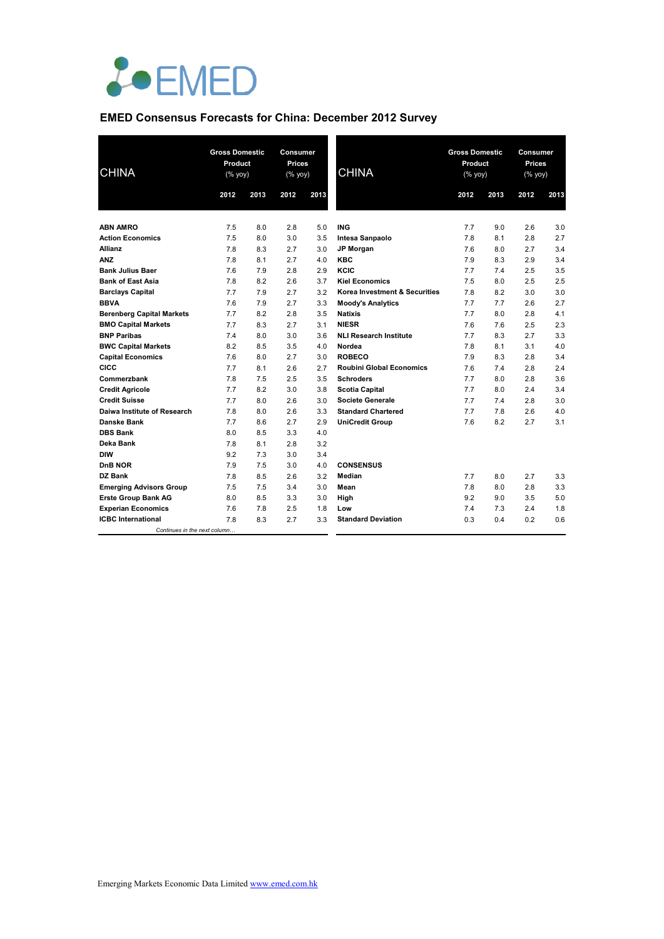

## **EMED Consensus Forecasts for China: December 2012 Survey**

| <b>CHINA</b>                     |      | <b>Gross Domestic</b><br>Product<br>(% |      | <b>Consumer</b><br>Prices<br>(% yoy) | <b>CHINA</b>                    | <b>Gross Domestic</b><br>Product<br>(% |      | <b>Consumer</b><br>Prices<br>(% yoy) |      |
|----------------------------------|------|----------------------------------------|------|--------------------------------------|---------------------------------|----------------------------------------|------|--------------------------------------|------|
|                                  | 2012 | 2013                                   | 2012 | 2013                                 |                                 | 2012                                   | 2013 | 2012                                 | 2013 |
|                                  |      |                                        |      |                                      |                                 |                                        |      |                                      |      |
| <b>ABN AMRO</b>                  | 7.5  | 8.0                                    | 2.8  | 5.0                                  | <b>ING</b>                      | 7.7                                    | 9.0  | 2.6                                  | 3.0  |
| <b>Action Economics</b>          | 7.5  | 8.0                                    | 3.0  | 3.5                                  | Intesa Sanpaolo                 | 7.8                                    | 8.1  | 2.8                                  | 2.7  |
| <b>Allianz</b>                   | 7.8  | 8.3                                    | 2.7  | 3.0                                  | JP Morgan                       | 7.6                                    | 8.0  | 2.7                                  | 3.4  |
| <b>ANZ</b>                       | 7.8  | 8.1                                    | 2.7  | 4.0                                  | <b>KBC</b>                      | 7.9                                    | 8.3  | 2.9                                  | 3.4  |
| <b>Bank Julius Baer</b>          | 7.6  | 7.9                                    | 2.8  | 2.9                                  | KCIC                            | 7.7                                    | 7.4  | 2.5                                  | 3.5  |
| <b>Bank of East Asia</b>         | 7.8  | 8.2                                    | 2.6  | 3.7                                  | <b>Kiel Economics</b>           | 7.5                                    | 8.0  | 2.5                                  | 2.5  |
| <b>Barclays Capital</b>          | 7.7  | 7.9                                    | 2.7  | 3.2                                  | Korea Investment & Securities   | 7.8                                    | 8.2  | 3.0                                  | 3.0  |
| <b>BBVA</b>                      | 7.6  | 7.9                                    | 2.7  | 3.3                                  | <b>Moody's Analytics</b>        | 7.7                                    | 7.7  | 2.6                                  | 2.7  |
| <b>Berenberg Capital Markets</b> | 7.7  | 8.2                                    | 2.8  | 3.5                                  | <b>Natixis</b>                  | 7.7                                    | 8.0  | 2.8                                  | 4.1  |
| <b>BMO Capital Markets</b>       | 7.7  | 8.3                                    | 2.7  | 3.1                                  | <b>NIESR</b>                    | 7.6                                    | 7.6  | 2.5                                  | 2.3  |
| <b>BNP Paribas</b>               | 7.4  | 8.0                                    | 3.0  | 3.6                                  | <b>NLI Research Institute</b>   | 7.7                                    | 8.3  | 2.7                                  | 3.3  |
| <b>BWC Capital Markets</b>       | 8.2  | 8.5                                    | 3.5  | 4.0                                  | Nordea                          | 7.8                                    | 8.1  | 3.1                                  | 4.0  |
| <b>Capital Economics</b>         | 7.6  | 8.0                                    | 2.7  | 3.0                                  | <b>ROBECO</b>                   | 7.9                                    | 8.3  | 2.8                                  | 3.4  |
| CICC                             | 7.7  | 8.1                                    | 2.6  | 2.7                                  | <b>Roubini Global Economics</b> | 7.6                                    | 7.4  | 2.8                                  | 2.4  |
| Commerzbank                      | 7.8  | 7.5                                    | 2.5  | 3.5                                  | <b>Schroders</b>                | 7.7                                    | 8.0  | 2.8                                  | 3.6  |
| <b>Credit Agricole</b>           | 7.7  | 8.2                                    | 3.0  | 3.8                                  | <b>Scotia Capital</b>           | 7.7                                    | 8.0  | 2.4                                  | 3.4  |
| <b>Credit Suisse</b>             | 7.7  | 8.0                                    | 2.6  | 3.0                                  | <b>Societe Generale</b>         | 7.7                                    | 7.4  | 2.8                                  | 3.0  |
| Daiwa Institute of Research      | 7.8  | 8.0                                    | 2.6  | 3.3                                  | <b>Standard Chartered</b>       | 7.7                                    | 7.8  | 2.6                                  | 4.0  |
| Danske Bank                      | 7.7  | 8.6                                    | 2.7  | 2.9                                  | <b>UniCredit Group</b>          | 7.6                                    | 8.2  | 2.7                                  | 3.1  |
| <b>DBS Bank</b>                  | 8.0  | 8.5                                    | 3.3  | 4.0                                  |                                 |                                        |      |                                      |      |
| Deka Bank                        | 7.8  | 8.1                                    | 2.8  | 3.2                                  |                                 |                                        |      |                                      |      |
| DIW                              | 9.2  | 7.3                                    | 3.0  | 3.4                                  |                                 |                                        |      |                                      |      |
| DnB NOR                          | 7.9  | 7.5                                    | 3.0  | 4.0                                  | <b>CONSENSUS</b>                |                                        |      |                                      |      |
| DZ Bank                          | 7.8  | 8.5                                    | 2.6  | 3.2                                  | Median                          | 7.7                                    | 8.0  | 2.7                                  | 3.3  |
| <b>Emerging Advisors Group</b>   | 7.5  | 7.5                                    | 3.4  | 3.0                                  | Mean                            | 7.8                                    | 8.0  | 2.8                                  | 3.3  |
| <b>Erste Group Bank AG</b>       | 8.0  | 8.5                                    | 3.3  | 3.0                                  | High                            | 9.2                                    | 9.0  | 3.5                                  | 5.0  |
| <b>Experian Economics</b>        | 7.6  | 7.8                                    | 2.5  | 1.8                                  | Low                             | 7.4                                    | 7.3  | 2.4                                  | 1.8  |
| <b>ICBC</b> International        | 7.8  | 8.3                                    | 2.7  | 3.3                                  | <b>Standard Deviation</b>       | 0.3                                    | 0.4  | 0.2                                  | 0.6  |
| Continues in the next column     |      |                                        |      |                                      |                                 |                                        |      |                                      |      |